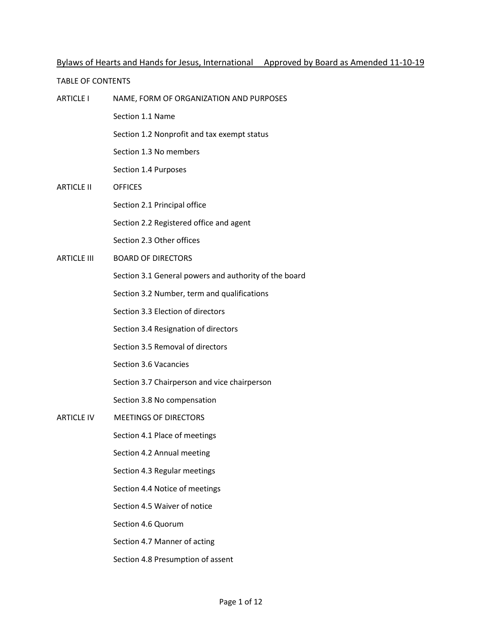# Bylaws of Hearts and Hands for Jesus, International Approved by Board as Amended 11-10-19

#### TABLE OF CONTENTS

- ARTICLE I NAME, FORM OF ORGANIZATION AND PURPOSES Section 1.1 Name Section 1.2 Nonprofit and tax exempt status Section 1.3 No members Section 1.4 Purposes ARTICLE II OFFICES Section 2.1 Principal office Section 2.2 Registered office and agent Section 2.3 Other offices ARTICLE III BOARD OF DIRECTORS Section 3.1 General powers and authority of the board Section 3.2 Number, term and qualifications Section 3.3 Election of directors Section 3.4 Resignation of directors Section 3.5 Removal of directors Section 3.6 Vacancies Section 3.7 Chairperson and vice chairperson Section 3.8 No compensation ARTICLE IV MEETINGS OF DIRECTORS Section 4.1 Place of meetings Section 4.2 Annual meeting Section 4.3 Regular meetings Section 4.4 Notice of meetings Section 4.5 Waiver of notice Section 4.6 Quorum Section 4.7 Manner of acting
	- Section 4.8 Presumption of assent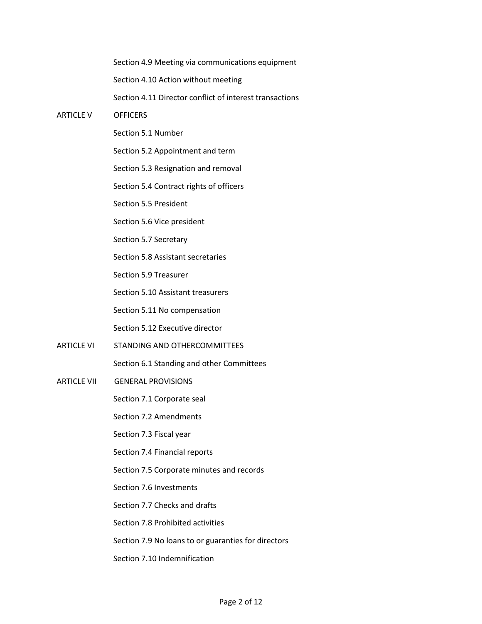Section 4.9 Meeting via communications equipment Section 4.10 Action without meeting Section 4.11 Director conflict of interest transactions ARTICLE V OFFICERS Section 5.1 Number Section 5.2 Appointment and term Section 5.3 Resignation and removal Section 5.4 Contract rights of officers Section 5.5 President Section 5.6 Vice president Section 5.7 Secretary Section 5.8 Assistant secretaries Section 5.9 Treasurer Section 5.10 Assistant treasurers Section 5.11 No compensation Section 5.12 Executive director ARTICLE VI STANDING AND OTHERCOMMITTEES Section 6.1 Standing and other Committees ARTICLE VII GENERAL PROVISIONS Section 7.1 Corporate seal

Section 7.2 Amendments

Section 7.3 Fiscal year

Section 7.4 Financial reports

Section 7.5 Corporate minutes and records

Section 7.6 Investments

Section 7.7 Checks and drafts

Section 7.8 Prohibited activities

Section 7.9 No loans to or guaranties for directors

Section 7.10 Indemnification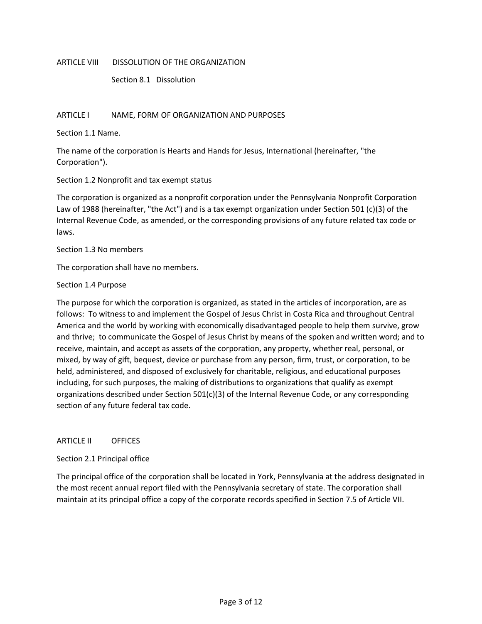#### ARTICLE VIII DISSOLUTION OF THE ORGANIZATION

Section 8.1 Dissolution

#### ARTICLE I NAME, FORM OF ORGANIZATION AND PURPOSES

Section 1.1 Name.

The name of the corporation is Hearts and Hands for Jesus, International (hereinafter, "the Corporation").

## Section 1.2 Nonprofit and tax exempt status

The corporation is organized as a nonprofit corporation under the Pennsylvania Nonprofit Corporation Law of 1988 (hereinafter, "the Act") and is a tax exempt organization under Section 501 (c)(3) of the Internal Revenue Code, as amended, or the corresponding provisions of any future related tax code or laws.

Section 1.3 No members

The corporation shall have no members.

#### Section 1.4 Purpose

The purpose for which the corporation is organized, as stated in the articles of incorporation, are as follows: To witness to and implement the Gospel of Jesus Christ in Costa Rica and throughout Central America and the world by working with economically disadvantaged people to help them survive, grow and thrive; to communicate the Gospel of Jesus Christ by means of the spoken and written word; and to receive, maintain, and accept as assets of the corporation, any property, whether real, personal, or mixed, by way of gift, bequest, device or purchase from any person, firm, trust, or corporation, to be held, administered, and disposed of exclusively for charitable, religious, and educational purposes including, for such purposes, the making of distributions to organizations that qualify as exempt organizations described under Section 501(c)(3) of the Internal Revenue Code, or any corresponding section of any future federal tax code.

#### ARTICLE II OFFICES

## Section 2.1 Principal office

The principal office of the corporation shall be located in York, Pennsylvania at the address designated in the most recent annual report filed with the Pennsylvania secretary of state. The corporation shall maintain at its principal office a copy of the corporate records specified in Section 7.5 of Article VII.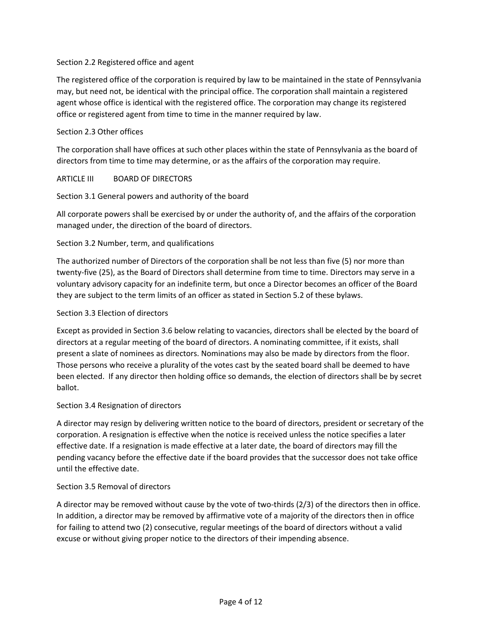## Section 2.2 Registered office and agent

The registered office of the corporation is required by law to be maintained in the state of Pennsylvania may, but need not, be identical with the principal office. The corporation shall maintain a registered agent whose office is identical with the registered office. The corporation may change its registered office or registered agent from time to time in the manner required by law.

## Section 2.3 Other offices

The corporation shall have offices at such other places within the state of Pennsylvania as the board of directors from time to time may determine, or as the affairs of the corporation may require.

## ARTICLE III BOARD OF DIRECTORS

# Section 3.1 General powers and authority of the board

All corporate powers shall be exercised by or under the authority of, and the affairs of the corporation managed under, the direction of the board of directors.

# Section 3.2 Number, term, and qualifications

The authorized number of Directors of the corporation shall be not less than five (5) nor more than twenty-five (25), as the Board of Directors shall determine from time to time. Directors may serve in a voluntary advisory capacity for an indefinite term, but once a Director becomes an officer of the Board they are subject to the term limits of an officer as stated in Section 5.2 of these bylaws.

## Section 3.3 Election of directors

Except as provided in Section 3.6 below relating to vacancies, directors shall be elected by the board of directors at a regular meeting of the board of directors. A nominating committee, if it exists, shall present a slate of nominees as directors. Nominations may also be made by directors from the floor. Those persons who receive a plurality of the votes cast by the seated board shall be deemed to have been elected. If any director then holding office so demands, the election of directors shall be by secret ballot.

## Section 3.4 Resignation of directors

A director may resign by delivering written notice to the board of directors, president or secretary of the corporation. A resignation is effective when the notice is received unless the notice specifies a later effective date. If a resignation is made effective at a later date, the board of directors may fill the pending vacancy before the effective date if the board provides that the successor does not take office until the effective date.

## Section 3.5 Removal of directors

A director may be removed without cause by the vote of two-thirds (2/3) of the directors then in office. In addition, a director may be removed by affirmative vote of a majority of the directors then in office for failing to attend two (2) consecutive, regular meetings of the board of directors without a valid excuse or without giving proper notice to the directors of their impending absence.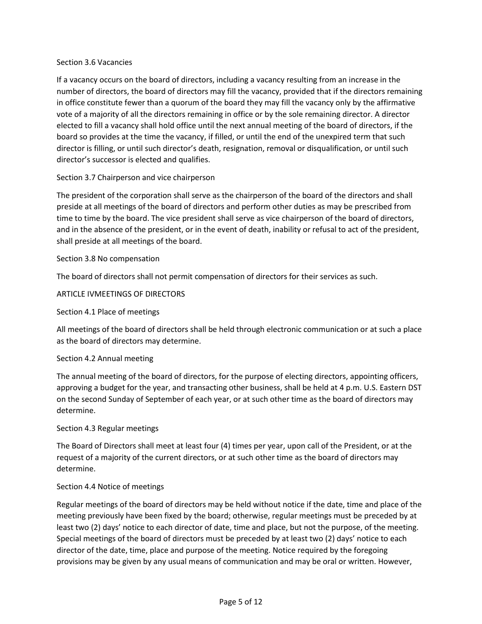#### Section 3.6 Vacancies

If a vacancy occurs on the board of directors, including a vacancy resulting from an increase in the number of directors, the board of directors may fill the vacancy, provided that if the directors remaining in office constitute fewer than a quorum of the board they may fill the vacancy only by the affirmative vote of a majority of all the directors remaining in office or by the sole remaining director. A director elected to fill a vacancy shall hold office until the next annual meeting of the board of directors, if the board so provides at the time the vacancy, if filled, or until the end of the unexpired term that such director is filling, or until such director's death, resignation, removal or disqualification, or until such director's successor is elected and qualifies.

## Section 3.7 Chairperson and vice chairperson

The president of the corporation shall serve as the chairperson of the board of the directors and shall preside at all meetings of the board of directors and perform other duties as may be prescribed from time to time by the board. The vice president shall serve as vice chairperson of the board of directors, and in the absence of the president, or in the event of death, inability or refusal to act of the president, shall preside at all meetings of the board.

## Section 3.8 No compensation

The board of directors shall not permit compensation of directors for their services as such.

## ARTICLE IVMEETINGS OF DIRECTORS

#### Section 4.1 Place of meetings

All meetings of the board of directors shall be held through electronic communication or at such a place as the board of directors may determine.

#### Section 4.2 Annual meeting

The annual meeting of the board of directors, for the purpose of electing directors, appointing officers, approving a budget for the year, and transacting other business, shall be held at 4 p.m. U.S. Eastern DST on the second Sunday of September of each year, or at such other time as the board of directors may determine.

#### Section 4.3 Regular meetings

The Board of Directors shall meet at least four (4) times per year, upon call of the President, or at the request of a majority of the current directors, or at such other time as the board of directors may determine.

#### Section 4.4 Notice of meetings

Regular meetings of the board of directors may be held without notice if the date, time and place of the meeting previously have been fixed by the board; otherwise, regular meetings must be preceded by at least two (2) days' notice to each director of date, time and place, but not the purpose, of the meeting. Special meetings of the board of directors must be preceded by at least two (2) days' notice to each director of the date, time, place and purpose of the meeting. Notice required by the foregoing provisions may be given by any usual means of communication and may be oral or written. However,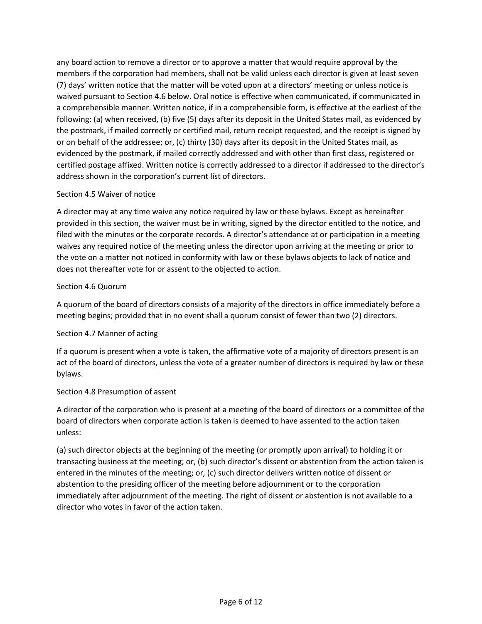any board action to remove a director or to approve a matter that would require approval by the members if the corporation had members, shall not be valid unless each director is given at least seven (7) days' written notice that the matter will be voted upon at a directors' meeting or unless notice is waived pursuant to Section 4.6 below. Oral notice is effective when communicated, if communicated in a comprehensible manner. Written notice, if in a comprehensible form, is effective at the earliest of the following: (a) when received, (b) five (5) days after its deposit in the United States mail, as evidenced by the postmark, if mailed correctly or certified mail, return receipt requested, and the receipt is signed by or on behalf of the addressee; or, (c) thirty (30) days after its deposit in the United States mail, as evidenced by the postmark, if mailed correctly addressed and with other than first class, registered or certified postage affixed. Written notice is correctly addressed to a director if addressed to the director's address shown in the corporation's current list of directors.

# Section 4.5 Waiver of notice

A director may at any time waive any notice required by law or these bylaws. Except as hereinafter provided in this section, the waiver must be in writing, signed by the director entitled to the notice, and filed with the minutes or the corporate records. A director's attendance at or participation in a meeting waives any required notice of the meeting unless the director upon arriving at the meeting or prior to the vote on a matter not noticed in conformity with law or these bylaws objects to lack of notice and does not thereafter vote for or assent to the objected to action.

# Section 4.6 Quorum

A quorum of the board of directors consists of a majority of the directors in office immediately before a meeting begins; provided that in no event shall a quorum consist of fewer than two (2) directors.

# Section 4.7 Manner of acting

If a quorum is present when a vote is taken, the affirmative vote of a majority of directors present is an act of the board of directors, unless the vote of a greater number of directors is required by law or these bylaws.

## Section 4.8 Presumption of assent

A director of the corporation who is present at a meeting of the board of directors or a committee of the board of directors when corporate action is taken is deemed to have assented to the action taken unless:

(a) such director objects at the beginning of the meeting (or promptly upon arrival) to holding it or transacting business at the meeting; or, (b) such director's dissent or abstention from the action taken is entered in the minutes of the meeting; or, (c) such director delivers written notice of dissent or abstention to the presiding officer of the meeting before adjournment or to the corporation immediately after adjournment of the meeting. The right of dissent or abstention is not available to a director who votes in favor of the action taken.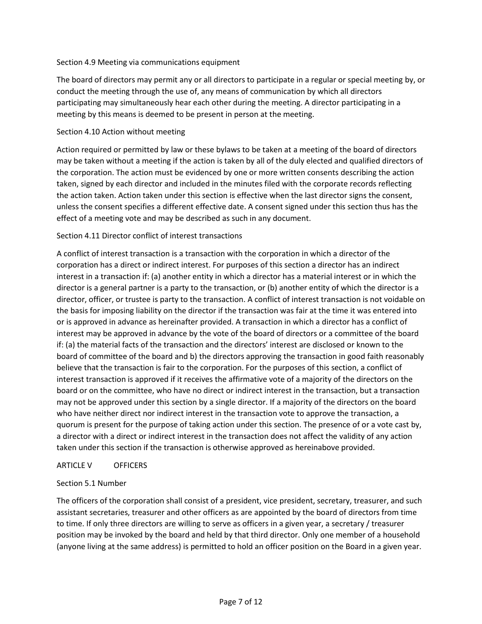## Section 4.9 Meeting via communications equipment

The board of directors may permit any or all directors to participate in a regular or special meeting by, or conduct the meeting through the use of, any means of communication by which all directors participating may simultaneously hear each other during the meeting. A director participating in a meeting by this means is deemed to be present in person at the meeting.

#### Section 4.10 Action without meeting

Action required or permitted by law or these bylaws to be taken at a meeting of the board of directors may be taken without a meeting if the action is taken by all of the duly elected and qualified directors of the corporation. The action must be evidenced by one or more written consents describing the action taken, signed by each director and included in the minutes filed with the corporate records reflecting the action taken. Action taken under this section is effective when the last director signs the consent, unless the consent specifies a different effective date. A consent signed under this section thus has the effect of a meeting vote and may be described as such in any document.

## Section 4.11 Director conflict of interest transactions

A conflict of interest transaction is a transaction with the corporation in which a director of the corporation has a direct or indirect interest. For purposes of this section a director has an indirect interest in a transaction if: (a) another entity in which a director has a material interest or in which the director is a general partner is a party to the transaction, or (b) another entity of which the director is a director, officer, or trustee is party to the transaction. A conflict of interest transaction is not voidable on the basis for imposing liability on the director if the transaction was fair at the time it was entered into or is approved in advance as hereinafter provided. A transaction in which a director has a conflict of interest may be approved in advance by the vote of the board of directors or a committee of the board if: (a) the material facts of the transaction and the directors' interest are disclosed or known to the board of committee of the board and b) the directors approving the transaction in good faith reasonably believe that the transaction is fair to the corporation. For the purposes of this section, a conflict of interest transaction is approved if it receives the affirmative vote of a majority of the directors on the board or on the committee, who have no direct or indirect interest in the transaction, but a transaction may not be approved under this section by a single director. If a majority of the directors on the board who have neither direct nor indirect interest in the transaction vote to approve the transaction, a quorum is present for the purpose of taking action under this section. The presence of or a vote cast by, a director with a direct or indirect interest in the transaction does not affect the validity of any action taken under this section if the transaction is otherwise approved as hereinabove provided.

## ARTICLE V OFFICERS

## Section 5.1 Number

The officers of the corporation shall consist of a president, vice president, secretary, treasurer, and such assistant secretaries, treasurer and other officers as are appointed by the board of directors from time to time. If only three directors are willing to serve as officers in a given year, a secretary / treasurer position may be invoked by the board and held by that third director. Only one member of a household (anyone living at the same address) is permitted to hold an officer position on the Board in a given year.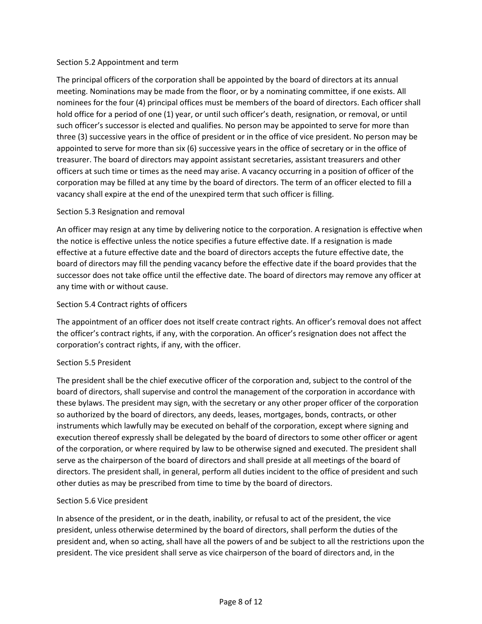## Section 5.2 Appointment and term

The principal officers of the corporation shall be appointed by the board of directors at its annual meeting. Nominations may be made from the floor, or by a nominating committee, if one exists. All nominees for the four (4) principal offices must be members of the board of directors. Each officer shall hold office for a period of one (1) year, or until such officer's death, resignation, or removal, or until such officer's successor is elected and qualifies. No person may be appointed to serve for more than three (3) successive years in the office of president or in the office of vice president. No person may be appointed to serve for more than six (6) successive years in the office of secretary or in the office of treasurer. The board of directors may appoint assistant secretaries, assistant treasurers and other officers at such time or times as the need may arise. A vacancy occurring in a position of officer of the corporation may be filled at any time by the board of directors. The term of an officer elected to fill a vacancy shall expire at the end of the unexpired term that such officer is filling.

# Section 5.3 Resignation and removal

An officer may resign at any time by delivering notice to the corporation. A resignation is effective when the notice is effective unless the notice specifies a future effective date. If a resignation is made effective at a future effective date and the board of directors accepts the future effective date, the board of directors may fill the pending vacancy before the effective date if the board provides that the successor does not take office until the effective date. The board of directors may remove any officer at any time with or without cause.

# Section 5.4 Contract rights of officers

The appointment of an officer does not itself create contract rights. An officer's removal does not affect the officer's contract rights, if any, with the corporation. An officer's resignation does not affect the corporation's contract rights, if any, with the officer.

# Section 5.5 President

The president shall be the chief executive officer of the corporation and, subject to the control of the board of directors, shall supervise and control the management of the corporation in accordance with these bylaws. The president may sign, with the secretary or any other proper officer of the corporation so authorized by the board of directors, any deeds, leases, mortgages, bonds, contracts, or other instruments which lawfully may be executed on behalf of the corporation, except where signing and execution thereof expressly shall be delegated by the board of directors to some other officer or agent of the corporation, or where required by law to be otherwise signed and executed. The president shall serve as the chairperson of the board of directors and shall preside at all meetings of the board of directors. The president shall, in general, perform all duties incident to the office of president and such other duties as may be prescribed from time to time by the board of directors.

## Section 5.6 Vice president

In absence of the president, or in the death, inability, or refusal to act of the president, the vice president, unless otherwise determined by the board of directors, shall perform the duties of the president and, when so acting, shall have all the powers of and be subject to all the restrictions upon the president. The vice president shall serve as vice chairperson of the board of directors and, in the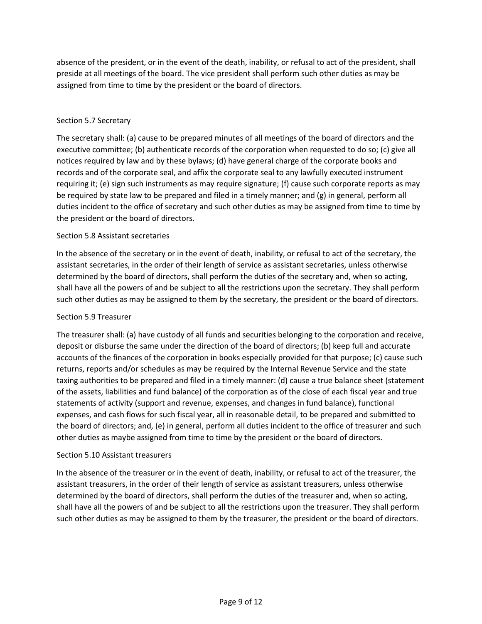absence of the president, or in the event of the death, inability, or refusal to act of the president, shall preside at all meetings of the board. The vice president shall perform such other duties as may be assigned from time to time by the president or the board of directors.

# Section 5.7 Secretary

The secretary shall: (a) cause to be prepared minutes of all meetings of the board of directors and the executive committee; (b) authenticate records of the corporation when requested to do so; (c) give all notices required by law and by these bylaws; (d) have general charge of the corporate books and records and of the corporate seal, and affix the corporate seal to any lawfully executed instrument requiring it; (e) sign such instruments as may require signature; (f) cause such corporate reports as may be required by state law to be prepared and filed in a timely manner; and (g) in general, perform all duties incident to the office of secretary and such other duties as may be assigned from time to time by the president or the board of directors.

# Section 5.8 Assistant secretaries

In the absence of the secretary or in the event of death, inability, or refusal to act of the secretary, the assistant secretaries, in the order of their length of service as assistant secretaries, unless otherwise determined by the board of directors, shall perform the duties of the secretary and, when so acting, shall have all the powers of and be subject to all the restrictions upon the secretary. They shall perform such other duties as may be assigned to them by the secretary, the president or the board of directors.

## Section 5.9 Treasurer

The treasurer shall: (a) have custody of all funds and securities belonging to the corporation and receive, deposit or disburse the same under the direction of the board of directors; (b) keep full and accurate accounts of the finances of the corporation in books especially provided for that purpose; (c) cause such returns, reports and/or schedules as may be required by the Internal Revenue Service and the state taxing authorities to be prepared and filed in a timely manner: (d) cause a true balance sheet (statement of the assets, liabilities and fund balance) of the corporation as of the close of each fiscal year and true statements of activity (support and revenue, expenses, and changes in fund balance), functional expenses, and cash flows for such fiscal year, all in reasonable detail, to be prepared and submitted to the board of directors; and, (e) in general, perform all duties incident to the office of treasurer and such other duties as maybe assigned from time to time by the president or the board of directors.

## Section 5.10 Assistant treasurers

In the absence of the treasurer or in the event of death, inability, or refusal to act of the treasurer, the assistant treasurers, in the order of their length of service as assistant treasurers, unless otherwise determined by the board of directors, shall perform the duties of the treasurer and, when so acting, shall have all the powers of and be subject to all the restrictions upon the treasurer. They shall perform such other duties as may be assigned to them by the treasurer, the president or the board of directors.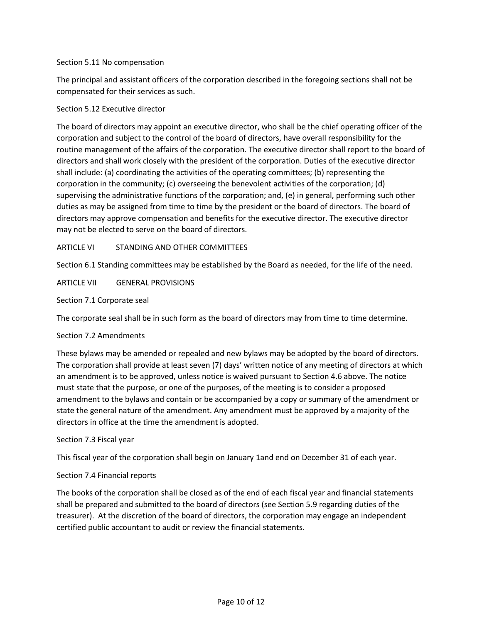## Section 5.11 No compensation

The principal and assistant officers of the corporation described in the foregoing sections shall not be compensated for their services as such.

#### Section 5.12 Executive director

The board of directors may appoint an executive director, who shall be the chief operating officer of the corporation and subject to the control of the board of directors, have overall responsibility for the routine management of the affairs of the corporation. The executive director shall report to the board of directors and shall work closely with the president of the corporation. Duties of the executive director shall include: (a) coordinating the activities of the operating committees; (b) representing the corporation in the community; (c) overseeing the benevolent activities of the corporation; (d) supervising the administrative functions of the corporation; and, (e) in general, performing such other duties as may be assigned from time to time by the president or the board of directors. The board of directors may approve compensation and benefits for the executive director. The executive director may not be elected to serve on the board of directors.

## ARTICLE VI STANDING AND OTHER COMMITTEES

Section 6.1 Standing committees may be established by the Board as needed, for the life of the need.

ARTICLE VII GENERAL PROVISIONS

Section 7.1 Corporate seal

The corporate seal shall be in such form as the board of directors may from time to time determine.

#### Section 7.2 Amendments

These bylaws may be amended or repealed and new bylaws may be adopted by the board of directors. The corporation shall provide at least seven (7) days' written notice of any meeting of directors at which an amendment is to be approved, unless notice is waived pursuant to Section 4.6 above. The notice must state that the purpose, or one of the purposes, of the meeting is to consider a proposed amendment to the bylaws and contain or be accompanied by a copy or summary of the amendment or state the general nature of the amendment. Any amendment must be approved by a majority of the directors in office at the time the amendment is adopted.

#### Section 7.3 Fiscal year

This fiscal year of the corporation shall begin on January 1and end on December 31 of each year.

## Section 7.4 Financial reports

The books of the corporation shall be closed as of the end of each fiscal year and financial statements shall be prepared and submitted to the board of directors (see Section 5.9 regarding duties of the treasurer). At the discretion of the board of directors, the corporation may engage an independent certified public accountant to audit or review the financial statements.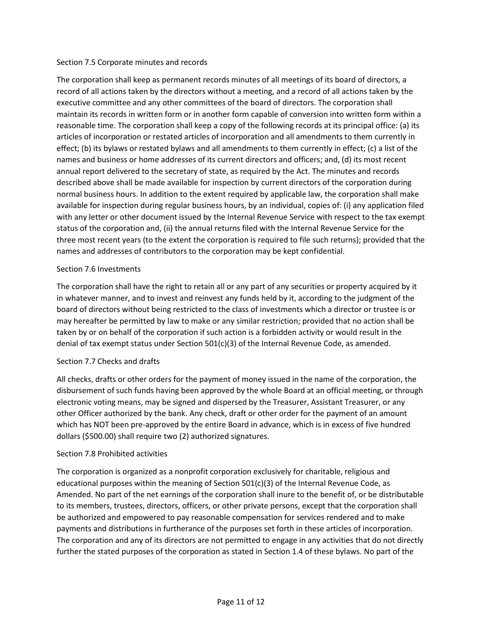#### Section 7.5 Corporate minutes and records

The corporation shall keep as permanent records minutes of all meetings of its board of directors, a record of all actions taken by the directors without a meeting, and a record of all actions taken by the executive committee and any other committees of the board of directors. The corporation shall maintain its records in written form or in another form capable of conversion into written form within a reasonable time. The corporation shall keep a copy of the following records at its principal office: (a) its articles of incorporation or restated articles of incorporation and all amendments to them currently in effect; (b) its bylaws or restated bylaws and all amendments to them currently in effect; (c) a list of the names and business or home addresses of its current directors and officers; and, (d) its most recent annual report delivered to the secretary of state, as required by the Act. The minutes and records described above shall be made available for inspection by current directors of the corporation during normal business hours. In addition to the extent required by applicable law, the corporation shall make available for inspection during regular business hours, by an individual, copies of: (i) any application filed with any letter or other document issued by the Internal Revenue Service with respect to the tax exempt status of the corporation and, (ii) the annual returns filed with the Internal Revenue Service for the three most recent years (to the extent the corporation is required to file such returns); provided that the names and addresses of contributors to the corporation may be kept confidential.

## Section 7.6 Investments

The corporation shall have the right to retain all or any part of any securities or property acquired by it in whatever manner, and to invest and reinvest any funds held by it, according to the judgment of the board of directors without being restricted to the class of investments which a director or trustee is or may hereafter be permitted by law to make or any similar restriction; provided that no action shall be taken by or on behalf of the corporation if such action is a forbidden activity or would result in the denial of tax exempt status under Section 501(c)(3) of the Internal Revenue Code, as amended.

## Section 7.7 Checks and drafts

All checks, drafts or other orders for the payment of money issued in the name of the corporation, the disbursement of such funds having been approved by the whole Board at an official meeting, or through electronic voting means, may be signed and dispersed by the Treasurer, Assistant Treasurer, or any other Officer authorized by the bank. Any check, draft or other order for the payment of an amount which has NOT been pre-approved by the entire Board in advance, which is in excess of five hundred dollars (\$500.00) shall require two (2) authorized signatures.

## Section 7.8 Prohibited activities

The corporation is organized as a nonprofit corporation exclusively for charitable, religious and educational purposes within the meaning of Section  $501(c)(3)$  of the Internal Revenue Code, as Amended. No part of the net earnings of the corporation shall inure to the benefit of, or be distributable to its members, trustees, directors, officers, or other private persons, except that the corporation shall be authorized and empowered to pay reasonable compensation for services rendered and to make payments and distributions in furtherance of the purposes set forth in these articles of incorporation. The corporation and any of its directors are not permitted to engage in any activities that do not directly further the stated purposes of the corporation as stated in Section 1.4 of these bylaws. No part of the